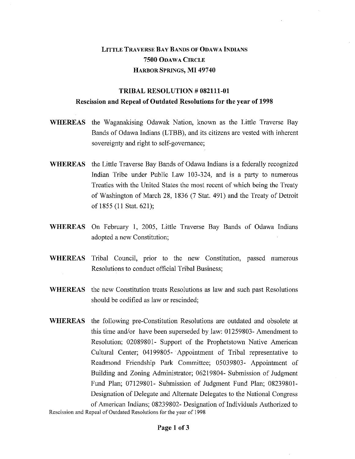## LITTLE TRAVERSE BAY BANDS OF ODAWA INDIANS **7500** ODAWA CIRCLE HARBOR SPRINGS, **MI 49740**

## **TRIBAL RESOLUTION # 082111-01 Rescission and Repeal of Outdated Resolutions for the year of 1998**

- **WHEREAS** the Waganakising Odawak Nation, known as the Little Traverse Bay Bands of Odawa Indians (LTBB), and its citizens are vested with inherent sovereignty and right to self-governance;
- **WHEREAS** the Little Traverse Bay Bands of Odawa Indians is a federally recognized Indian Tribe under Public Law 103-324, and is a party to numerous Treaties with the United States the most recent of which being the Treaty of Washington of March 28, 1836 (7 Stat. 491) and the Treaty of Detroit of 1855 (11 Stat. 621);
- **WHEREAS** On February 1, 2005, Little Traverse Bay Bands of Odawa Indians adopted a new Constitution;
- **WHEREAS** Tribal Council, prior to the new Constitution, passed numerous Resolutions to conduct official Tribal Business;
- **WHEREAS** the new Constitution treats Resolutions as law and such past Resolutions should be codified as law or rescinded;
- **WHEREAS** the following pre-Constitution Resolutions are outdated and obsolete at this time and/or have been superseded by law: 01259803- Amendment to Resolution; 02089801- Support of the Prophetstown Native American Cultural Center; 04199805- Appointment of Tribal representative to Readmond Friendship Park Committee; 05039803- Appointment of Building and Zoning Administrator; 06219804- Submission of Judgment Fund Plan; 07129801- Submission of Judgment Fund Plan; 08239801- Designation of Delegate and Alternate Delegates to the National Congress of American Indians; 08239802- Designation of Individuals Authorized to

Rescission and Repeal of Outdated Resolutions for the year of 1998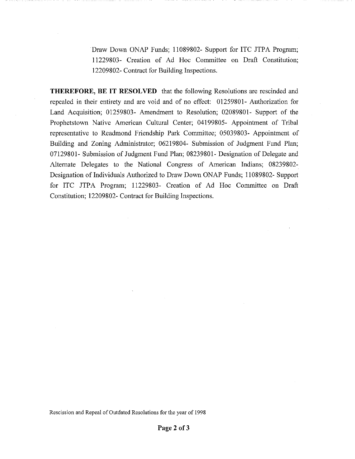Draw Down ONAP Funds; 11089802- Support for ITC JTPA Program; 11229803- Creation of Ad Hoc Committee on Draft Constitution; 12209802- Contract for Building Inspections.

THEREFORE, BE IT RESOLVED that the following Resolutions are rescinded and repealed in their entirety and are void and of no effect: 01259801- Authorization for Land Acquisition; 01259803- Amendment to Resolution; 02089801- Support of the Prophetstown Native American Cultural Center; 04199805- Appointment of Tribal representative to Readmond Friendship Park Committee; 05039803- Appointment of Building and Zoning Administrator; 06219804- Submission of Judgment Fund Plan; 07129801- Submission of Judgment Fund Plan; 08239801- Designation of Delegate and Alternate Delegates to the National Congress of American Indians; 08239802- Designation of Individuals Authorized to Draw Down ONAP Funds; 11089802- Support for ITC JTPA Program; 11229803- Creation of Ad Hoc Committee on Draft Constitution; 12209802- Contract for Building Inspections.